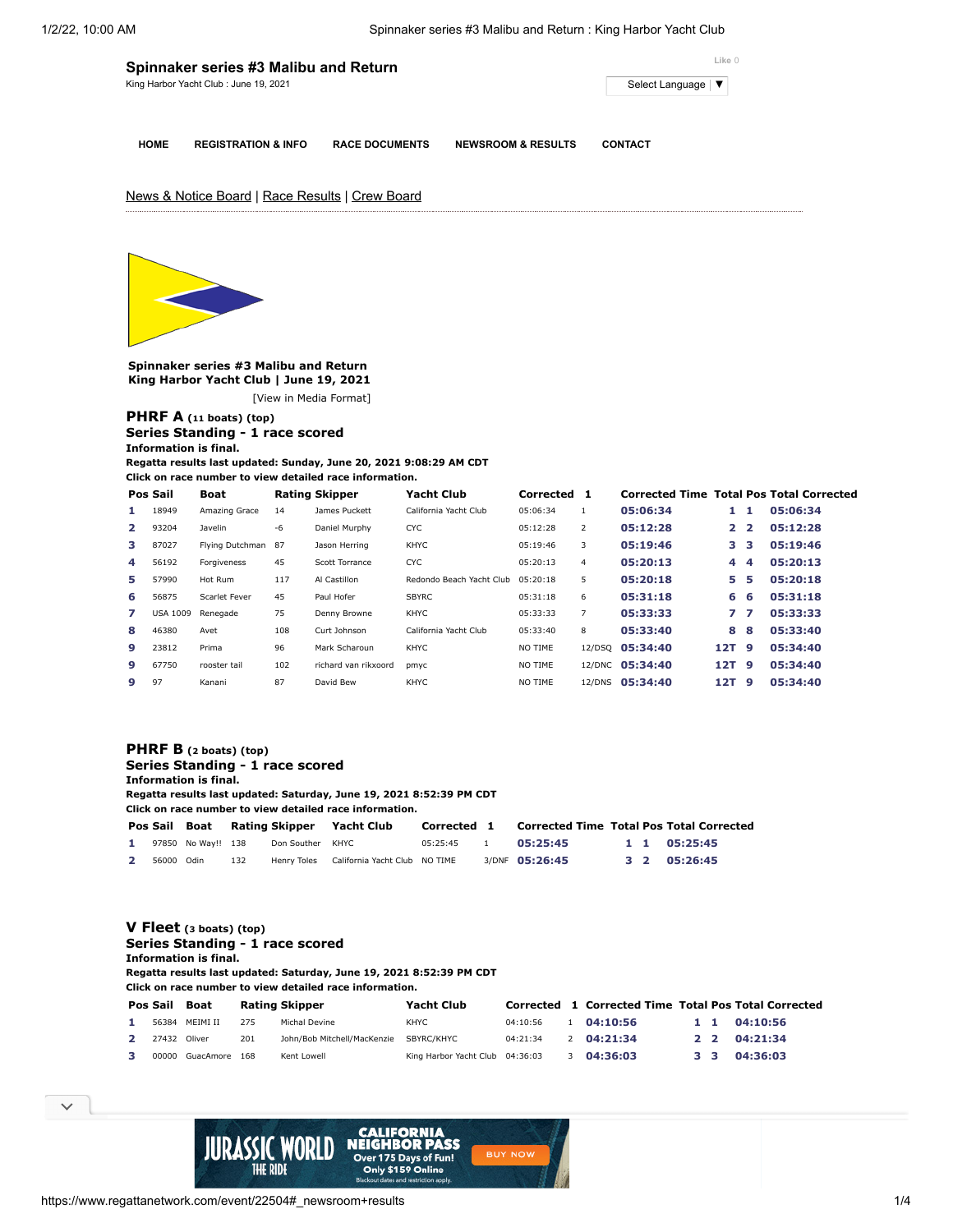| Spinnaker series #3 Malibu and Return | Like 0                                     |
|---------------------------------------|--------------------------------------------|
| King Harbor Yacht Club: June 19, 2021 | Select Language $\vert \blacktriangledown$ |
|                                       |                                            |
|                                       |                                            |

**HOME REGISTRATION & INFO RACE DOCUMENTS NEWSROOM & RESULTS CONTACT**

# News & Notice Board | Race Results | Crew Board



**Spinnaker series #3 Malibu and Return King Harbor Yacht Club | June 19, 2021**

[\[View in Media Format\]](https://www.regattanetwork.com/clubmgmt/applet_regatta_results.php?regatta_id=22504&media_format=1)

#### **[PHRF A](https://www.regattanetwork.com/clubmgmt/applet_regatta_results.php?regatta_id=22504&limit_fleet=PHRF+A) (11 boats) (top) Series Standing - 1 race scored Information is final.**

**Regatta results last updated: Sunday, June 20, 2021 9:08:29 AM CDT**

**Click on race number to view detailed race information.**

|   | Pos Sail        | <b>Boat</b>     |      | <b>Rating Skipper</b> | <b>Yacht Club</b>        | Corrected 1 |                | <b>Corrected Time Total Pos Total Corrected</b> |     |    |          |
|---|-----------------|-----------------|------|-----------------------|--------------------------|-------------|----------------|-------------------------------------------------|-----|----|----------|
| 1 | 18949           | Amazing Grace   | 14   | James Puckett         | California Yacht Club    | 05:06:34    | $\mathbf{1}$   | 05:06:34                                        | 1   | -1 | 05:06:34 |
| 2 | 93204           | Javelin         | $-6$ | Daniel Murphy         | <b>CYC</b>               | 05:12:28    | $\overline{2}$ | 05:12:28                                        | 2   | 2  | 05:12:28 |
| з | 87027           | Flying Dutchman | 87   | Jason Herring         | KHYC                     | 05:19:46    | 3              | 05:19:46                                        | з   | з  | 05:19:46 |
| 4 | 56192           | Forgiveness     | 45   | Scott Torrance        | <b>CYC</b>               | 05:20:13    | $\overline{4}$ | 05:20:13                                        | 4   | 4  | 05:20:13 |
| 5 | 57990           | Hot Rum         | 117  | Al Castillon          | Redondo Beach Yacht Club | 05:20:18    | 5              | 05:20:18                                        | 5   | 5  | 05:20:18 |
| 6 | 56875           | Scarlet Fever   | 45   | Paul Hofer            | <b>SBYRC</b>             | 05:31:18    | 6              | 05:31:18                                        | 6   | 6  | 05:31:18 |
| 7 | <b>USA 1009</b> | Renegade        | 75   | Denny Browne          | KHYC                     | 05:33:33    | $\overline{7}$ | 05:33:33                                        | 7   | 7  | 05:33:33 |
| 8 | 46380           | Avet            | 108  | Curt Johnson          | California Yacht Club    | 05:33:40    | 8              | 05:33:40                                        | 8   | 8  | 05:33:40 |
| 9 | 23812           | Prima           | 96   | Mark Scharoun         | KHYC                     | NO TIME     |                | 12/DSQ 05:34:40                                 | 12T | 9  | 05:34:40 |
| 9 | 67750           | rooster tail    | 102  | richard van rikxoord  | pmyc                     | NO TIME     |                | 12/DNC 05:34:40                                 | 12T | -9 | 05:34:40 |
| 9 | 97              | Kanani          | 87   | David Bew             | KHYC                     | NO TIME     |                | 12/DNS 05:34:40                                 | 12T | -9 | 05:34:40 |

#### **[PHRF B](https://www.regattanetwork.com/clubmgmt/applet_regatta_results.php?regatta_id=22504&limit_fleet=PHRF+B) (2 boats) (top) Series Standing - 1 race scored Information is final.**

**Regatta results last updated: Saturday, June 19, 2021 8:52:39 PM CDT Click on race number to view detailed race information.**

|                     |                      |     |                  | Pos Sail Boat Rating Skipper Yacht Club   |            | Corrected 1 Corrected Time Total Pos Total Corrected |  |              |
|---------------------|----------------------|-----|------------------|-------------------------------------------|------------|------------------------------------------------------|--|--------------|
|                     | 1 97850 No Way!! 138 |     | Don Souther KHYC |                                           | 05:25:45 1 | 05:25:45                                             |  | 1 1 05:25:45 |
| <b>2</b> 56000 Odin |                      | 132 |                  | Henry Toles California Yacht Club NO TIME |            | 3/DNF 05:26:45                                       |  | 3 2 05:26:45 |

### **[V Fleet](https://www.regattanetwork.com/clubmgmt/applet_regatta_results.php?regatta_id=22504&limit_fleet=V+Fleet) (3 boats) (top) Series Standing - 1 race scored**

## **Information is final.**

**Regatta results last updated: Saturday, June 19, 2021 8:52:39 PM CDT**

**Click on race number to view detailed race information.**

| Pos Sail     | Boat                |     | <b>Rating Skipper</b>       | Yacht Club                      |          | Corrected 1 Corrected Time Total Pos Total Corrected |  |                          |
|--------------|---------------------|-----|-----------------------------|---------------------------------|----------|------------------------------------------------------|--|--------------------------|
| 56384        | MEIMI II            | 275 | Michal Devine               | KHYC                            | 04:10:56 | 04:10:56                                             |  | $1\quad 1\quad 04:10:56$ |
| 27432 Oliver |                     | 201 | John/Bob Mitchell/MacKenzie | SBYRC/KHYC                      | 04:21:34 | $2 \quad 04:21:34$                                   |  | 2 2 04:21:34             |
|              | 00000 GuacAmore 168 |     | Kent Lowell                 | King Harbor Yacht Club 04:36:03 |          | $3\quad 04:36:03$                                    |  | 3 3 04:36:03             |

 $\checkmark$ 

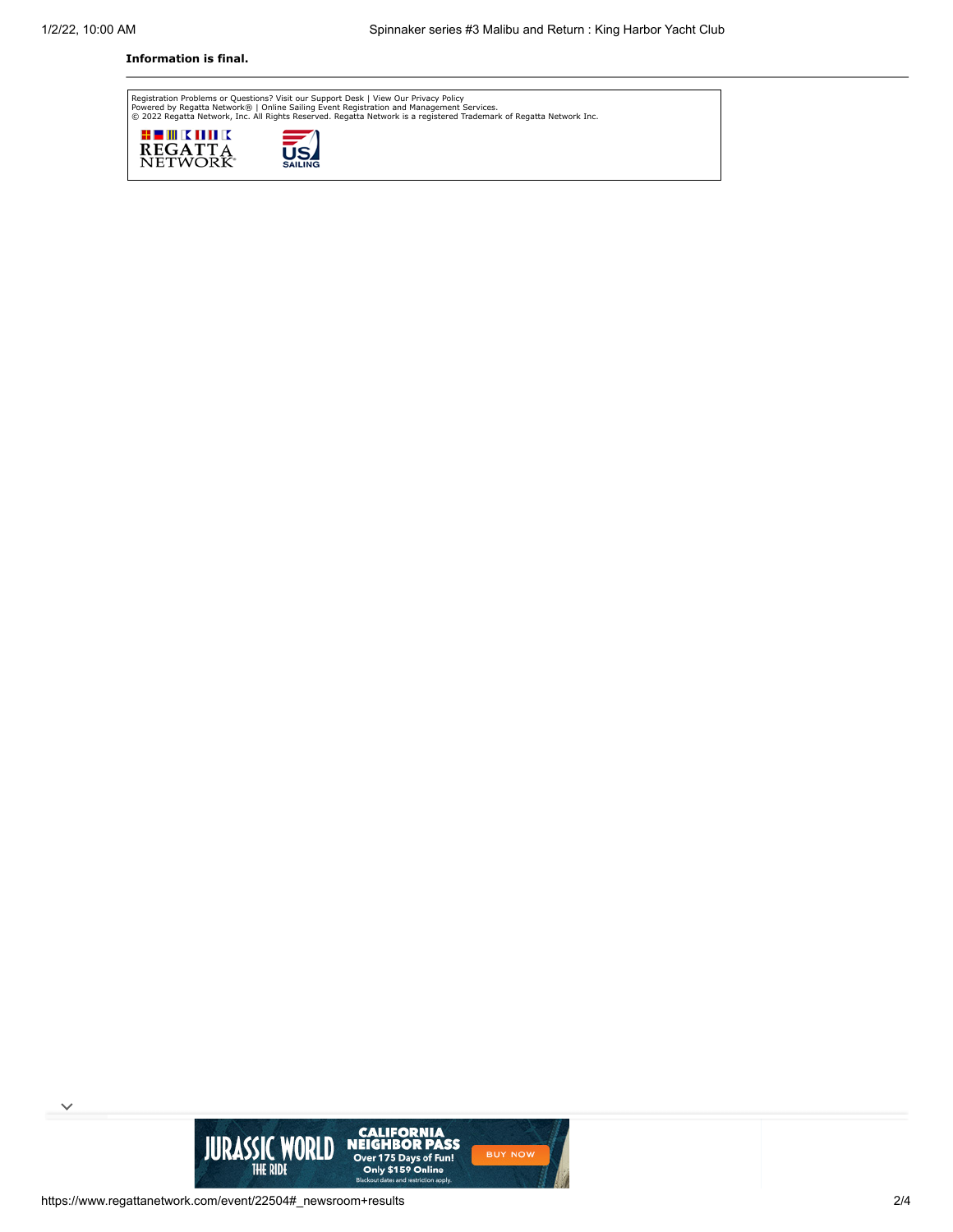#### **Information is final.**

Registration Problems or Questions? [Visit our Support Desk](http://support.regattanetwork.com/) | [View Our Privacy Policy](https://www.regattanetwork.com/html/privacy.html)<br>[Powered by Regatta Network®](http://www.regattanetwork.com/) | Online Sailing Event Registration and Management Services.<br>© 2022 [Regatta Network,](http://www.regattanetwork.com/) Inc. All Rights Reserved





 $\checkmark$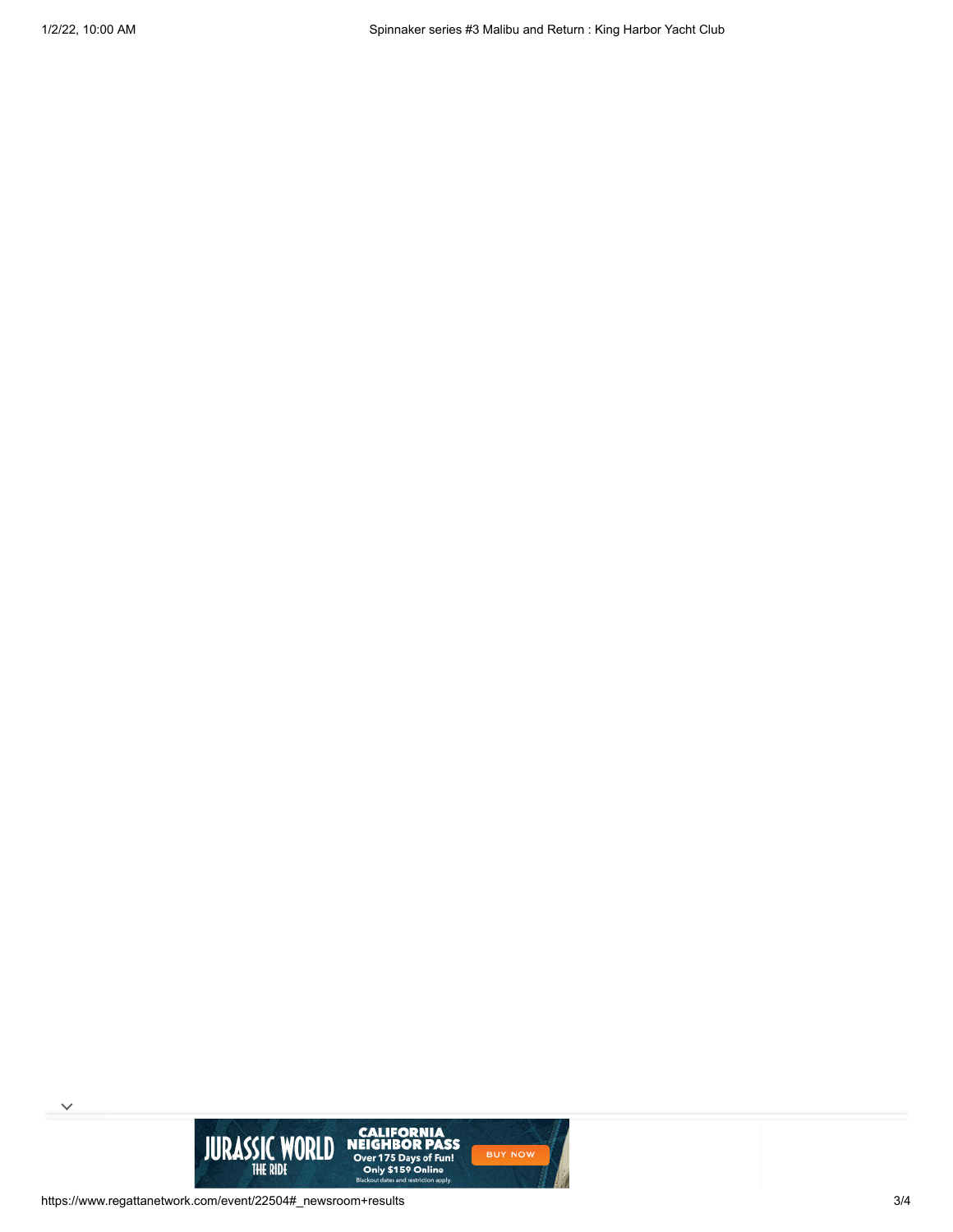

 $\checkmark$